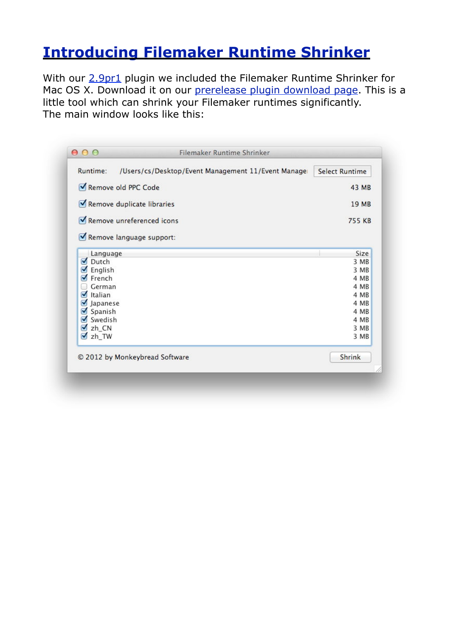## **[Introducing Filemaker Runtime Shrinker](http://www.mbsplugins.de/archive/2012-08-14/Introducing_Filemaker_Runtime_/monkeybreadsoftware_blog_archive)**

With our [2.9pr1](http://www.mbsplugins.de/archive/2012-08-14/MBS_Filemaker_Plugin_version_2/monkeybreadsoftware_blog_filemaker) plugin we included the Filemaker Runtime Shrinker for Mac OS X. Download it on our [prerelease plugin download page](http://www.monkeybreadsoftware.de/filemaker/files/Prerelease/). This is a little tool which can shrink your Filemaker runtimes significantly. The main window looks like this:

| Runtime:<br>/Users/cs/Desktop/Event Management 11/Event Manager | <b>Select Runtime</b> |
|-----------------------------------------------------------------|-----------------------|
| Remove old PPC Code                                             | 43 MB                 |
| Remove duplicate libraries                                      | 19 MB                 |
| Remove unreferenced icons                                       | <b>755 KB</b>         |
| Remove language support:                                        |                       |
| Language                                                        | Size                  |
| ø<br>Dutch                                                      | 3 MB                  |
| English<br>M                                                    | 3 MB                  |
| French                                                          | 4 MB                  |
| German                                                          | 4 MB                  |
| $\bullet$<br>Italian                                            | 4 MB                  |
| M<br>Japanese                                                   | 4 MB                  |
| Spanish<br>M                                                    | 4 MB                  |
| Swedish<br>$\blacktriangledown$                                 | 4 MB                  |
| zh_CN<br>M                                                      | 3 MB                  |
| <b>V</b> <sub>zh</sub> TW                                       | 3 MB                  |
|                                                                 |                       |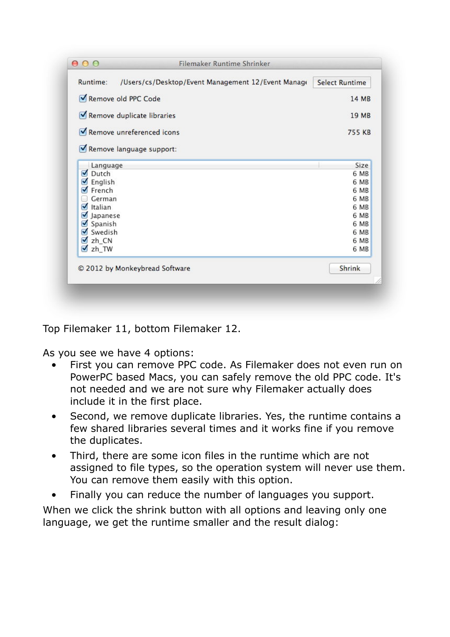| Runtime:<br>/Users/cs/Desktop/Event Management 12/Event Manage | <b>Select Runtime</b> |
|----------------------------------------------------------------|-----------------------|
| Remove old PPC Code                                            | 14 MB                 |
| Remove duplicate libraries                                     | 19 MB                 |
| Remove unreferenced icons                                      | <b>755 KB</b>         |
| Remove language support:                                       |                       |
| Language                                                       | Size                  |
| Dutch<br>$\overline{\mathbf{v}}$                               | 6 MB                  |
| English<br>M                                                   | 6 MB                  |
| French                                                         | 6 MB                  |
| German                                                         | 6 MB                  |
| M<br>Italian                                                   | 6 MB                  |
| Japanese<br>M                                                  | 6 MB                  |
| Spanish<br>M                                                   | 6 MB                  |
| Swedish                                                        | 6 MB                  |
| $Z$ zh_CN                                                      | 6 MB                  |
| $\n  zh$ TW                                                    | 6 MB                  |
| © 2012 by Monkeybread Software                                 | Shrink                |
|                                                                |                       |

Top Filemaker 11, bottom Filemaker 12.

As you see we have 4 options:

- First you can remove PPC code. As Filemaker does not even run on PowerPC based Macs, you can safely remove the old PPC code. It's not needed and we are not sure why Filemaker actually does include it in the first place.
- Second, we remove duplicate libraries. Yes, the runtime contains a few shared libraries several times and it works fine if you remove the duplicates.
- Third, there are some icon files in the runtime which are not assigned to file types, so the operation system will never use them. You can remove them easily with this option.
- Finally you can reduce the number of languages you support.

When we click the shrink button with all options and leaving only one language, we get the runtime smaller and the result dialog: